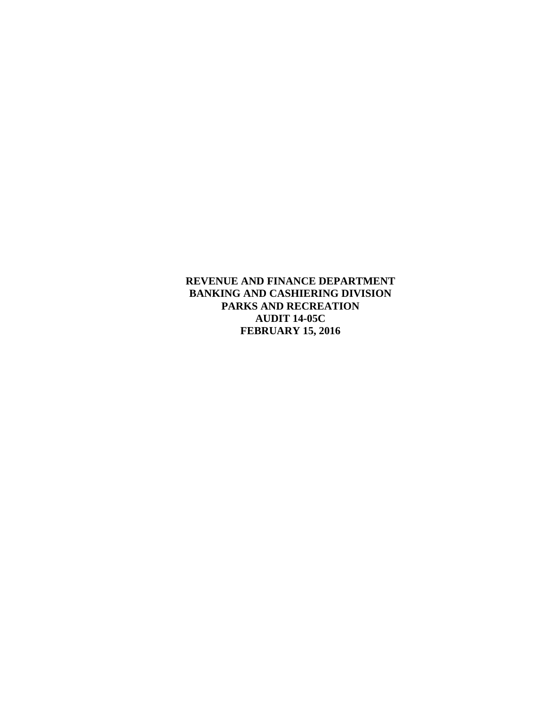**REVENUE AND FINANCE DEPARTMENT BANKING AND CASHIERING DIVISION PARKS AND RECREATION AUDIT 14-05C FEBRUARY 15, 2016**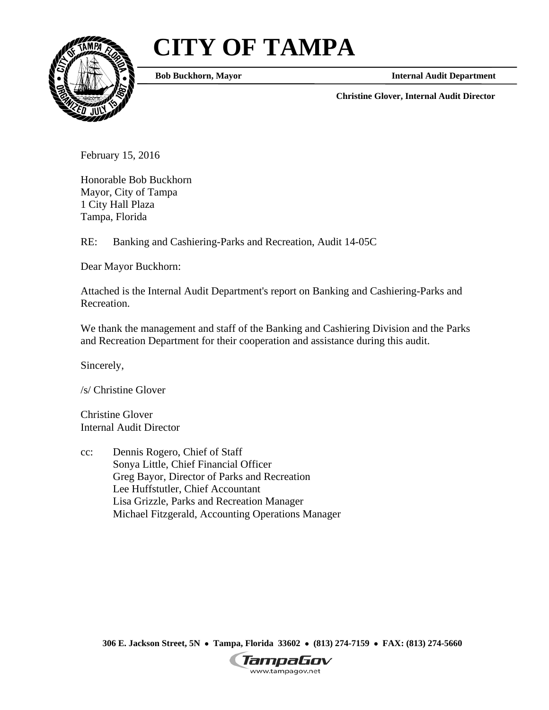# **CITY OF TAMPA**



**Bob Buckhorn, Mayor**

**Internal Audit Department** 

**Christine Glover, Internal Audit Director** 

February 15, 2016

Honorable Bob Buckhorn Mayor, City of Tampa 1 City Hall Plaza Tampa, Florida

RE: Banking and Cashiering-Parks and Recreation, Audit 14-05C

Dear Mayor Buckhorn:

Attached is the Internal Audit Department's report on Banking and Cashiering-Parks and Recreation.

We thank the management and staff of the Banking and Cashiering Division and the Parks and Recreation Department for their cooperation and assistance during this audit.

Sincerely,

/s/ Christine Glover

Christine Glover Internal Audit Director

cc: Dennis Rogero, Chief of Staff Sonya Little, Chief Financial Officer Greg Bayor, Director of Parks and Recreation Lee Huffstutler, Chief Accountant Lisa Grizzle, Parks and Recreation Manager Michael Fitzgerald, Accounting Operations Manager

**306 E. Jackson Street, 5N Tampa, Florida 33602 (813) 274-7159 FAX: (813) 274-5660** 

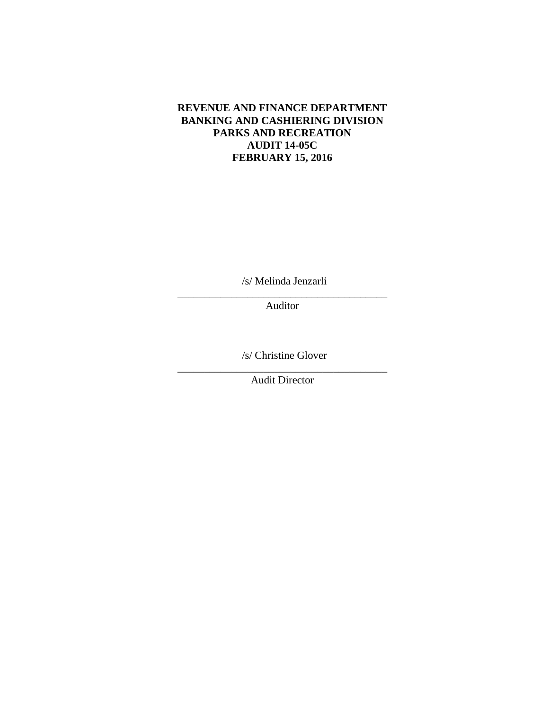#### **REVENUE AND FINANCE DEPARTMENT BANKING AND CASHIERING DIVISION PARKS AND RECREATION AUDIT 14-05C FEBRUARY 15, 2016**

/s/ Melinda Jenzarli \_\_\_\_\_\_\_\_\_\_\_\_\_\_\_\_\_\_\_\_\_\_\_\_\_\_\_\_\_\_\_\_\_\_\_\_\_\_\_

Auditor

/s/ Christine Glover \_\_\_\_\_\_\_\_\_\_\_\_\_\_\_\_\_\_\_\_\_\_\_\_\_\_\_\_\_\_\_\_\_\_\_\_\_\_\_

Audit Director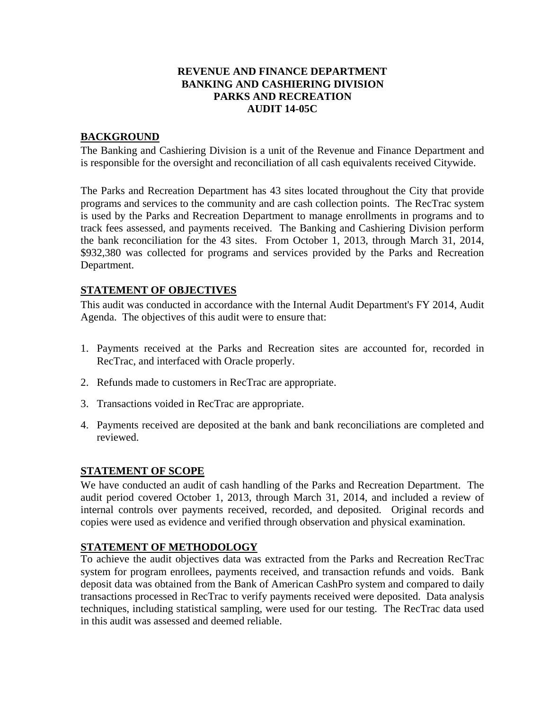#### **REVENUE AND FINANCE DEPARTMENT BANKING AND CASHIERING DIVISION PARKS AND RECREATION AUDIT 14-05C**

## **BACKGROUND**

The Banking and Cashiering Division is a unit of the Revenue and Finance Department and is responsible for the oversight and reconciliation of all cash equivalents received Citywide.

The Parks and Recreation Department has 43 sites located throughout the City that provide programs and services to the community and are cash collection points. The RecTrac system is used by the Parks and Recreation Department to manage enrollments in programs and to track fees assessed, and payments received. The Banking and Cashiering Division perform the bank reconciliation for the 43 sites. From October 1, 2013, through March 31, 2014, \$932,380 was collected for programs and services provided by the Parks and Recreation Department.

# **STATEMENT OF OBJECTIVES**

This audit was conducted in accordance with the Internal Audit Department's FY 2014, Audit Agenda. The objectives of this audit were to ensure that:

- 1. Payments received at the Parks and Recreation sites are accounted for, recorded in RecTrac, and interfaced with Oracle properly.
- 2. Refunds made to customers in RecTrac are appropriate.
- 3. Transactions voided in RecTrac are appropriate.
- 4. Payments received are deposited at the bank and bank reconciliations are completed and reviewed.

## **STATEMENT OF SCOPE**

We have conducted an audit of cash handling of the Parks and Recreation Department. The audit period covered October 1, 2013, through March 31, 2014, and included a review of internal controls over payments received, recorded, and deposited. Original records and copies were used as evidence and verified through observation and physical examination.

## **STATEMENT OF METHODOLOGY**

To achieve the audit objectives data was extracted from the Parks and Recreation RecTrac system for program enrollees, payments received, and transaction refunds and voids. Bank deposit data was obtained from the Bank of American CashPro system and compared to daily transactions processed in RecTrac to verify payments received were deposited. Data analysis techniques, including statistical sampling, were used for our testing. The RecTrac data used in this audit was assessed and deemed reliable.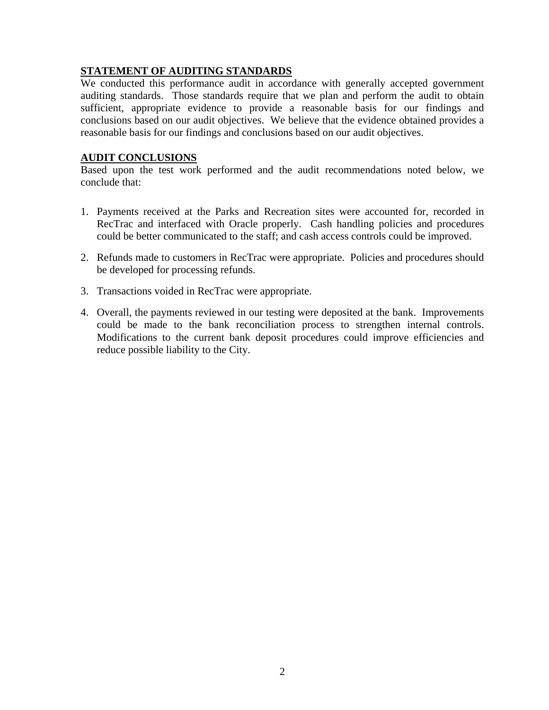## **STATEMENT OF AUDITING STANDARDS**

We conducted this performance audit in accordance with generally accepted government auditing standards. Those standards require that we plan and perform the audit to obtain sufficient, appropriate evidence to provide a reasonable basis for our findings and conclusions based on our audit objectives. We believe that the evidence obtained provides a reasonable basis for our findings and conclusions based on our audit objectives.

#### **AUDIT CONCLUSIONS**

Based upon the test work performed and the audit recommendations noted below, we conclude that:

- 1. Payments received at the Parks and Recreation sites were accounted for, recorded in RecTrac and interfaced with Oracle properly. Cash handling policies and procedures could be better communicated to the staff; and cash access controls could be improved.
- 2. Refunds made to customers in RecTrac were appropriate. Policies and procedures should be developed for processing refunds.
- 3. Transactions voided in RecTrac were appropriate.
- 4. Overall, the payments reviewed in our testing were deposited at the bank. Improvements could be made to the bank reconciliation process to strengthen internal controls. Modifications to the current bank deposit procedures could improve efficiencies and reduce possible liability to the City.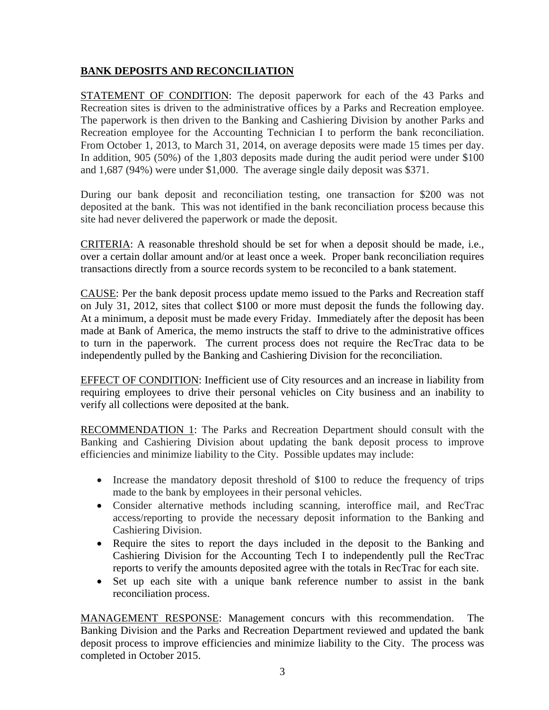# **BANK DEPOSITS AND RECONCILIATION**

STATEMENT OF CONDITION: The deposit paperwork for each of the 43 Parks and Recreation sites is driven to the administrative offices by a Parks and Recreation employee. The paperwork is then driven to the Banking and Cashiering Division by another Parks and Recreation employee for the Accounting Technician I to perform the bank reconciliation. From October 1, 2013, to March 31, 2014, on average deposits were made 15 times per day. In addition, 905 (50%) of the 1,803 deposits made during the audit period were under \$100 and 1,687 (94%) were under \$1,000. The average single daily deposit was \$371.

During our bank deposit and reconciliation testing, one transaction for \$200 was not deposited at the bank. This was not identified in the bank reconciliation process because this site had never delivered the paperwork or made the deposit.

CRITERIA: A reasonable threshold should be set for when a deposit should be made, i.e., over a certain dollar amount and/or at least once a week. Proper bank reconciliation requires transactions directly from a source records system to be reconciled to a bank statement.

CAUSE: Per the bank deposit process update memo issued to the Parks and Recreation staff on July 31, 2012, sites that collect \$100 or more must deposit the funds the following day. At a minimum, a deposit must be made every Friday. Immediately after the deposit has been made at Bank of America, the memo instructs the staff to drive to the administrative offices to turn in the paperwork. The current process does not require the RecTrac data to be independently pulled by the Banking and Cashiering Division for the reconciliation.

EFFECT OF CONDITION: Inefficient use of City resources and an increase in liability from requiring employees to drive their personal vehicles on City business and an inability to verify all collections were deposited at the bank.

RECOMMENDATION 1: The Parks and Recreation Department should consult with the Banking and Cashiering Division about updating the bank deposit process to improve efficiencies and minimize liability to the City. Possible updates may include:

- Increase the mandatory deposit threshold of \$100 to reduce the frequency of trips made to the bank by employees in their personal vehicles.
- Consider alternative methods including scanning, interoffice mail, and RecTrac access/reporting to provide the necessary deposit information to the Banking and Cashiering Division.
- Require the sites to report the days included in the deposit to the Banking and Cashiering Division for the Accounting Tech I to independently pull the RecTrac reports to verify the amounts deposited agree with the totals in RecTrac for each site.
- Set up each site with a unique bank reference number to assist in the bank reconciliation process.

MANAGEMENT RESPONSE: Management concurs with this recommendation. The Banking Division and the Parks and Recreation Department reviewed and updated the bank deposit process to improve efficiencies and minimize liability to the City. The process was completed in October 2015.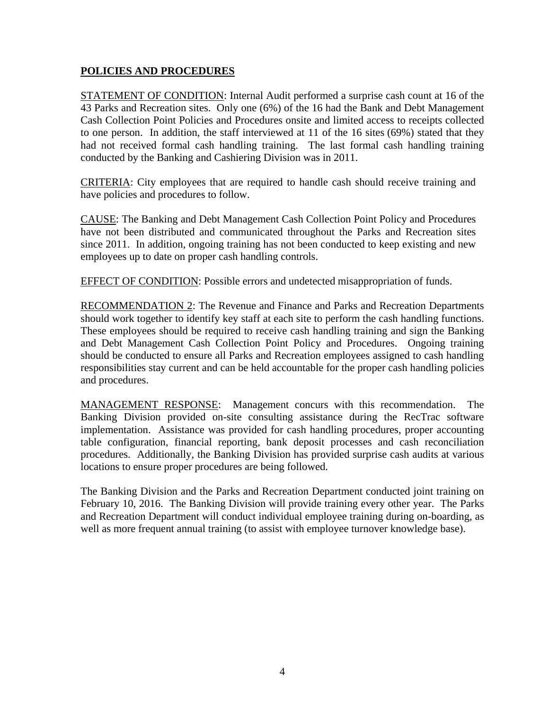## **POLICIES AND PROCEDURES**

STATEMENT OF CONDITION: Internal Audit performed a surprise cash count at 16 of the 43 Parks and Recreation sites. Only one (6%) of the 16 had the Bank and Debt Management Cash Collection Point Policies and Procedures onsite and limited access to receipts collected to one person. In addition, the staff interviewed at 11 of the 16 sites (69%) stated that they had not received formal cash handling training. The last formal cash handling training conducted by the Banking and Cashiering Division was in 2011.

CRITERIA: City employees that are required to handle cash should receive training and have policies and procedures to follow.

CAUSE: The Banking and Debt Management Cash Collection Point Policy and Procedures have not been distributed and communicated throughout the Parks and Recreation sites since 2011. In addition, ongoing training has not been conducted to keep existing and new employees up to date on proper cash handling controls.

EFFECT OF CONDITION: Possible errors and undetected misappropriation of funds.

RECOMMENDATION 2: The Revenue and Finance and Parks and Recreation Departments should work together to identify key staff at each site to perform the cash handling functions. These employees should be required to receive cash handling training and sign the Banking and Debt Management Cash Collection Point Policy and Procedures. Ongoing training should be conducted to ensure all Parks and Recreation employees assigned to cash handling responsibilities stay current and can be held accountable for the proper cash handling policies and procedures.

MANAGEMENT RESPONSE: Management concurs with this recommendation. The Banking Division provided on-site consulting assistance during the RecTrac software implementation. Assistance was provided for cash handling procedures, proper accounting table configuration, financial reporting, bank deposit processes and cash reconciliation procedures. Additionally, the Banking Division has provided surprise cash audits at various locations to ensure proper procedures are being followed.

The Banking Division and the Parks and Recreation Department conducted joint training on February 10, 2016. The Banking Division will provide training every other year. The Parks and Recreation Department will conduct individual employee training during on-boarding, as well as more frequent annual training (to assist with employee turnover knowledge base).